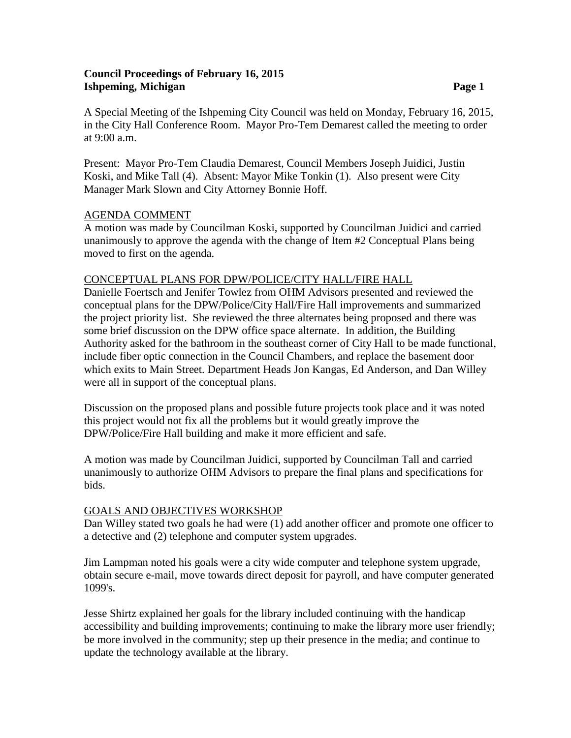## **Council Proceedings of February 16, 2015 Ishpeming, Michigan Page 1**

A Special Meeting of the Ishpeming City Council was held on Monday, February 16, 2015, in the City Hall Conference Room. Mayor Pro-Tem Demarest called the meeting to order at 9:00 a.m.

Present: Mayor Pro-Tem Claudia Demarest, Council Members Joseph Juidici, Justin Koski, and Mike Tall (4). Absent: Mayor Mike Tonkin (1). Also present were City Manager Mark Slown and City Attorney Bonnie Hoff.

## AGENDA COMMENT

A motion was made by Councilman Koski, supported by Councilman Juidici and carried unanimously to approve the agenda with the change of Item #2 Conceptual Plans being moved to first on the agenda.

## CONCEPTUAL PLANS FOR DPW/POLICE/CITY HALL/FIRE HALL

Danielle Foertsch and Jenifer Towlez from OHM Advisors presented and reviewed the conceptual plans for the DPW/Police/City Hall/Fire Hall improvements and summarized the project priority list. She reviewed the three alternates being proposed and there was some brief discussion on the DPW office space alternate. In addition, the Building Authority asked for the bathroom in the southeast corner of City Hall to be made functional, include fiber optic connection in the Council Chambers, and replace the basement door which exits to Main Street. Department Heads Jon Kangas, Ed Anderson, and Dan Willey were all in support of the conceptual plans.

Discussion on the proposed plans and possible future projects took place and it was noted this project would not fix all the problems but it would greatly improve the DPW/Police/Fire Hall building and make it more efficient and safe.

A motion was made by Councilman Juidici, supported by Councilman Tall and carried unanimously to authorize OHM Advisors to prepare the final plans and specifications for bids.

### GOALS AND OBJECTIVES WORKSHOP

Dan Willey stated two goals he had were (1) add another officer and promote one officer to a detective and (2) telephone and computer system upgrades.

Jim Lampman noted his goals were a city wide computer and telephone system upgrade, obtain secure e-mail, move towards direct deposit for payroll, and have computer generated 1099's.

Jesse Shirtz explained her goals for the library included continuing with the handicap accessibility and building improvements; continuing to make the library more user friendly; be more involved in the community; step up their presence in the media; and continue to update the technology available at the library.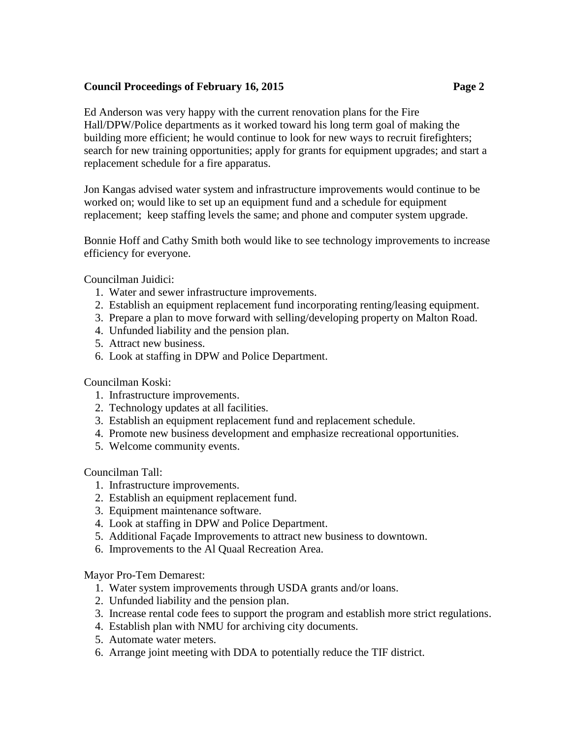# **Council Proceedings of February 16, 2015 Page 2**

Ed Anderson was very happy with the current renovation plans for the Fire Hall/DPW/Police departments as it worked toward his long term goal of making the building more efficient; he would continue to look for new ways to recruit firefighters; search for new training opportunities; apply for grants for equipment upgrades; and start a replacement schedule for a fire apparatus.

Jon Kangas advised water system and infrastructure improvements would continue to be worked on; would like to set up an equipment fund and a schedule for equipment replacement; keep staffing levels the same; and phone and computer system upgrade.

Bonnie Hoff and Cathy Smith both would like to see technology improvements to increase efficiency for everyone.

Councilman Juidici:

- 1. Water and sewer infrastructure improvements.
- 2. Establish an equipment replacement fund incorporating renting/leasing equipment.
- 3. Prepare a plan to move forward with selling/developing property on Malton Road.
- 4. Unfunded liability and the pension plan.
- 5. Attract new business.
- 6. Look at staffing in DPW and Police Department.

Councilman Koski:

- 1. Infrastructure improvements.
- 2. Technology updates at all facilities.
- 3. Establish an equipment replacement fund and replacement schedule.
- 4. Promote new business development and emphasize recreational opportunities.
- 5. Welcome community events.

### Councilman Tall:

- 1. Infrastructure improvements.
- 2. Establish an equipment replacement fund.
- 3. Equipment maintenance software.
- 4. Look at staffing in DPW and Police Department.
- 5. Additional Façade Improvements to attract new business to downtown.
- 6. Improvements to the Al Quaal Recreation Area.

Mayor Pro-Tem Demarest:

- 1. Water system improvements through USDA grants and/or loans.
- 2. Unfunded liability and the pension plan.
- 3. Increase rental code fees to support the program and establish more strict regulations.
- 4. Establish plan with NMU for archiving city documents.
- 5. Automate water meters.
- 6. Arrange joint meeting with DDA to potentially reduce the TIF district.